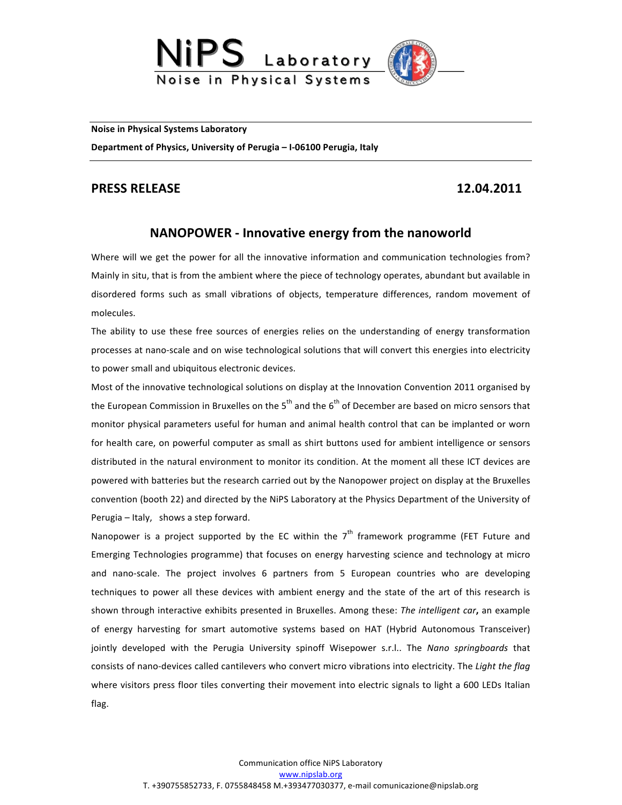

**Noise in Physical Systems Laboratory** 

Department of Physics, University of Perugia - I-06100 Perugia, Italy

## **PRESS RELEASE 12.04.2011**

## **NANOPOWER** - Innovative energy from the nanoworld

Where will we get the power for all the innovative information and communication technologies from? Mainly in situ, that is from the ambient where the piece of technology operates, abundant but available in disordered forms such as small vibrations of objects, temperature differences, random movement of molecules. 

The ability to use these free sources of energies relies on the understanding of energy transformation processes at nano-scale and on wise technological solutions that will convert this energies into electricity to power small and ubiquitous electronic devices.

Most of the innovative technological solutions on display at the Innovation Convention 2011 organised by the European Commission in Bruxelles on the  $5<sup>th</sup>$  and the  $6<sup>th</sup>$  of December are based on micro sensors that monitor physical parameters useful for human and animal health control that can be implanted or worn for health care, on powerful computer as small as shirt buttons used for ambient intelligence or sensors distributed in the natural environment to monitor its condition. At the moment all these ICT devices are powered with batteries but the research carried out by the Nanopower project on display at the Bruxelles convention (booth 22) and directed by the NiPS Laboratory at the Physics Department of the University of Perugia  $-$  Italy, shows a step forward.

Nanopower is a project supported by the EC within the  $7<sup>th</sup>$  framework programme (FET Future and Emerging Technologies programme) that focuses on energy harvesting science and technology at micro and nano-scale. The project involves 6 partners from 5 European countries who are developing techniques to power all these devices with ambient energy and the state of the art of this research is shown through interactive exhibits presented in Bruxelles. Among these: The intelligent car, an example of energy harvesting for smart automotive systems based on HAT (Hybrid Autonomous Transceiver) jointly developed with the Perugia University spinoff Wisepower s.r.l.. The Nano springboards that consists of nano-devices called cantilevers who convert micro vibrations into electricity. The *Light the flag* where visitors press floor tiles converting their movement into electric signals to light a 600 LEDs Italian flag.